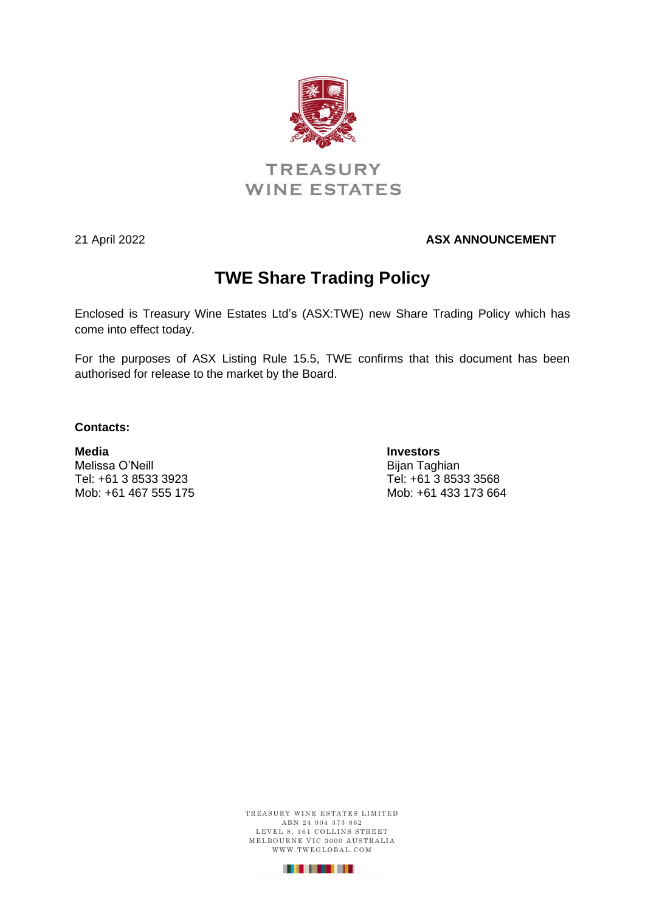

# **TREASURY WINE ESTATES**

#### 21 April 2022 **ASX ANNOUNCEMENT**

# **TWE Share Trading Policy**

Enclosed is Treasury Wine Estates Ltd's (ASX:TWE) new Share Trading Policy which has come into effect today.

For the purposes of ASX Listing Rule 15.5, TWE confirms that this document has been authorised for release to the market by the Board.

#### **Contacts:**

**Media Investors** Melissa O'Neill **Bijan Taghian** Tel: +61 3 8533 3923 Tel: +61 3 8533 3568

Mob: +61 467 555 175 Mob: +61 433 173 664

TREASURY WINE ESTATES LIMITED A B N 2 4 0 0 4 3 7 3 8 6 2 LEVEL 8, 161 COLLINS STREET M E L BOURNE VIC 3000 AUSTRALIA WWW.TWEGLOBAL.COM

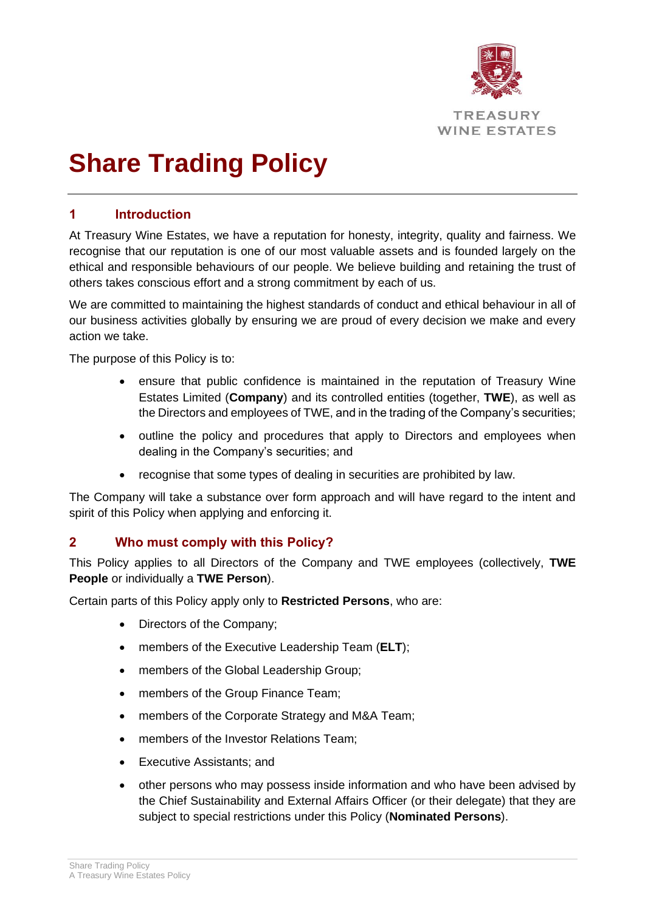

# **Share Trading Policy**

### **1 Introduction**

At Treasury Wine Estates, we have a reputation for honesty, integrity, quality and fairness. We recognise that our reputation is one of our most valuable assets and is founded largely on the ethical and responsible behaviours of our people. We believe building and retaining the trust of others takes conscious effort and a strong commitment by each of us.

We are committed to maintaining the highest standards of conduct and ethical behaviour in all of our business activities globally by ensuring we are proud of every decision we make and every action we take.

The purpose of this Policy is to:

- ensure that public confidence is maintained in the reputation of Treasury Wine Estates Limited (**Company**) and its controlled entities (together, **TWE**), as well as the Directors and employees of TWE, and in the trading of the Company's securities;
- outline the policy and procedures that apply to Directors and employees when dealing in the Company's securities; and
- recognise that some types of dealing in securities are prohibited by law.

The Company will take a substance over form approach and will have regard to the intent and spirit of this Policy when applying and enforcing it.

#### **2 Who must comply with this Policy?**

This Policy applies to all Directors of the Company and TWE employees (collectively, **TWE People** or individually a **TWE Person**).

Certain parts of this Policy apply only to **Restricted Persons**, who are:

- Directors of the Company;
- members of the Executive Leadership Team (**ELT**);
- members of the Global Leadership Group;
- members of the Group Finance Team;
- members of the Corporate Strategy and M&A Team;
- members of the Investor Relations Team;
- Executive Assistants; and
- other persons who may possess inside information and who have been advised by the Chief Sustainability and External Affairs Officer (or their delegate) that they are subject to special restrictions under this Policy (**Nominated Persons**).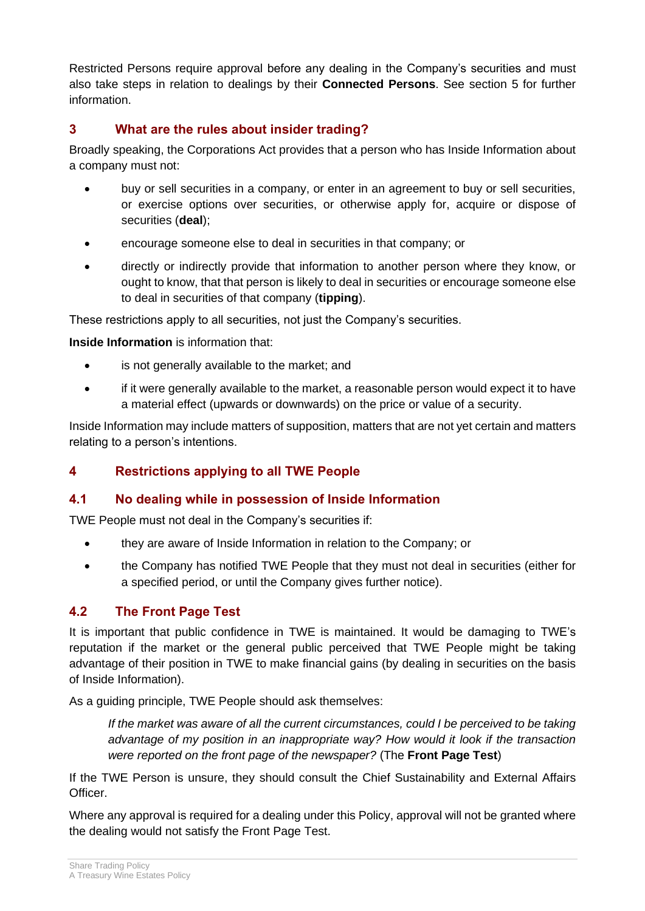Restricted Persons require approval before any dealing in the Company's securities and must also take steps in relation to dealings by their **Connected Persons**. See section [5](#page-3-0) for further information.

### **3 What are the rules about insider trading?**

Broadly speaking, the Corporations Act provides that a person who has Inside Information about a company must not:

- buy or sell securities in a company, or enter in an agreement to buy or sell securities, or exercise options over securities, or otherwise apply for, acquire or dispose of securities (**deal**);
- encourage someone else to deal in securities in that company; or
- directly or indirectly provide that information to another person where they know, or ought to know, that that person is likely to deal in securities or encourage someone else to deal in securities of that company (**tipping**).

These restrictions apply to all securities, not just the Company's securities.

**Inside Information** is information that:

- is not generally available to the market; and
- if it were generally available to the market, a reasonable person would expect it to have a material effect (upwards or downwards) on the price or value of a security.

Inside Information may include matters of supposition, matters that are not yet certain and matters relating to a person's intentions.

# **4 Restrictions applying to all TWE People**

#### **4.1 No dealing while in possession of Inside Information**

TWE People must not deal in the Company's securities if:

- they are aware of Inside Information in relation to the Company; or
- the Company has notified TWE People that they must not deal in securities (either for a specified period, or until the Company gives further notice).

# **4.2 The Front Page Test**

It is important that public confidence in TWE is maintained. It would be damaging to TWE's reputation if the market or the general public perceived that TWE People might be taking advantage of their position in TWE to make financial gains (by dealing in securities on the basis of Inside Information).

As a guiding principle, TWE People should ask themselves:

*If the market was aware of all the current circumstances, could I be perceived to be taking advantage of my position in an inappropriate way? How would it look if the transaction were reported on the front page of the newspaper?* (The **Front Page Test**)

If the TWE Person is unsure, they should consult the Chief Sustainability and External Affairs Officer.

Where any approval is required for a dealing under this Policy, approval will not be granted where the dealing would not satisfy the Front Page Test.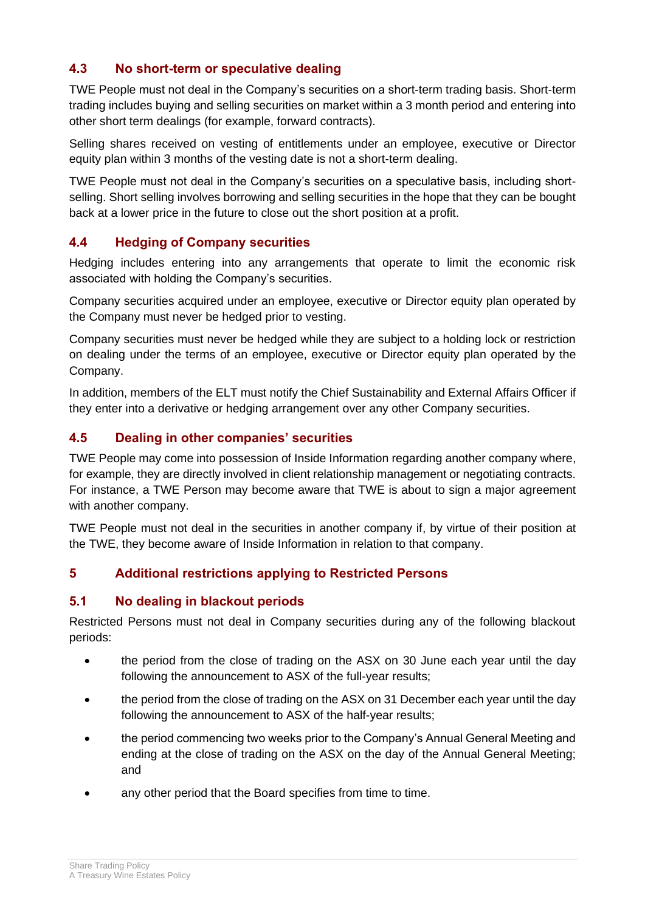# <span id="page-3-2"></span>**4.3 No short-term or speculative dealing**

TWE People must not deal in the Company's securities on a short-term trading basis. Short-term trading includes buying and selling securities on market within a 3 month period and entering into other short term dealings (for example, forward contracts).

Selling shares received on vesting of entitlements under an employee, executive or Director equity plan within 3 months of the vesting date is not a short-term dealing.

TWE People must not deal in the Company's securities on a speculative basis, including shortselling. Short selling involves borrowing and selling securities in the hope that they can be bought back at a lower price in the future to close out the short position at a profit.

#### **4.4 Hedging of Company securities**

Hedging includes entering into any arrangements that operate to limit the economic risk associated with holding the Company's securities.

Company securities acquired under an employee, executive or Director equity plan operated by the Company must never be hedged prior to vesting.

Company securities must never be hedged while they are subject to a holding lock or restriction on dealing under the terms of an employee, executive or Director equity plan operated by the Company.

In addition, members of the ELT must notify the Chief Sustainability and External Affairs Officer if they enter into a derivative or hedging arrangement over any other Company securities.

# **4.5 Dealing in other companies' securities**

TWE People may come into possession of Inside Information regarding another company where, for example, they are directly involved in client relationship management or negotiating contracts. For instance, a TWE Person may become aware that TWE is about to sign a major agreement with another company.

TWE People must not deal in the securities in another company if, by virtue of their position at the TWE, they become aware of Inside Information in relation to that company.

#### <span id="page-3-0"></span>**5 Additional restrictions applying to Restricted Persons**

#### <span id="page-3-1"></span>**5.1 No dealing in blackout periods**

Restricted Persons must not deal in Company securities during any of the following blackout periods:

- the period from the close of trading on the ASX on 30 June each year until the day following the announcement to ASX of the full-year results;
- the period from the close of trading on the ASX on 31 December each year until the day following the announcement to ASX of the half-year results;
- the period commencing two weeks prior to the Company's Annual General Meeting and ending at the close of trading on the ASX on the day of the Annual General Meeting; and
- any other period that the Board specifies from time to time.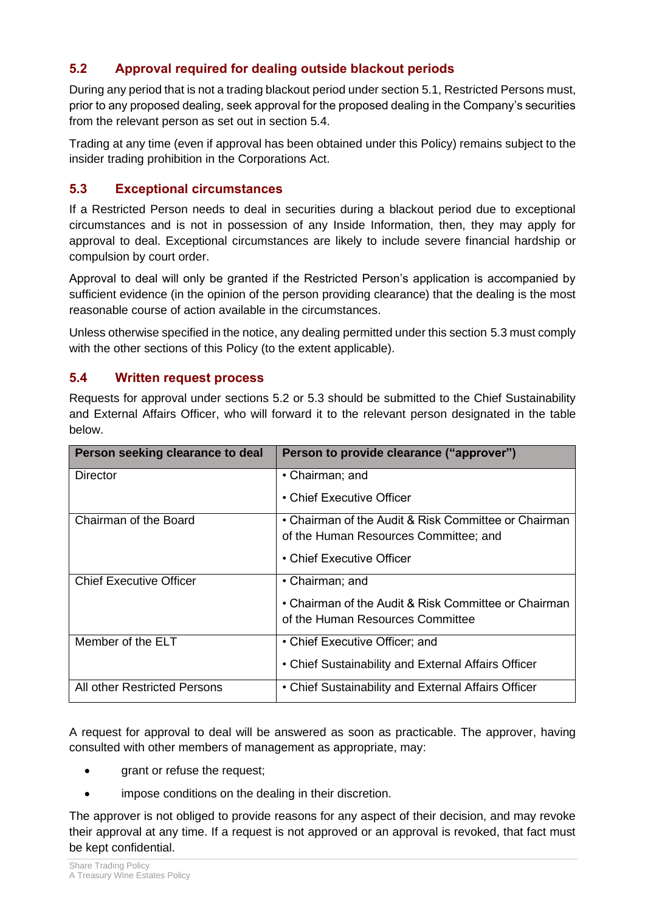# <span id="page-4-2"></span>**5.2 Approval required for dealing outside blackout periods**

During any period that is not a trading blackout period under sectio[n 5.1,](#page-3-1) Restricted Persons must, prior to any proposed dealing, seek approval for the proposed dealing in the Company's securities from the relevant person as set out in section [5.4.](#page-4-0)

Trading at any time (even if approval has been obtained under this Policy) remains subject to the insider trading prohibition in the Corporations Act.

# <span id="page-4-1"></span>**5.3 Exceptional circumstances**

If a Restricted Person needs to deal in securities during a blackout period due to exceptional circumstances and is not in possession of any Inside Information, then, they may apply for approval to deal. Exceptional circumstances are likely to include severe financial hardship or compulsion by court order.

Approval to deal will only be granted if the Restricted Person's application is accompanied by sufficient evidence (in the opinion of the person providing clearance) that the dealing is the most reasonable course of action available in the circumstances.

Unless otherwise specified in the notice, any dealing permitted under this section [5.3](#page-4-1) must comply with the other sections of this Policy (to the extent applicable).

#### <span id="page-4-0"></span>**5.4 Written request process**

Requests for approval under sections [5.2](#page-4-2) or [5.3](#page-4-1) should be submitted to the Chief Sustainability and External Affairs Officer, who will forward it to the relevant person designated in the table below.

| Person seeking clearance to deal | Person to provide clearance ("approver")             |
|----------------------------------|------------------------------------------------------|
| Director                         | • Chairman; and                                      |
|                                  | • Chief Executive Officer                            |
| Chairman of the Board            | • Chairman of the Audit & Risk Committee or Chairman |
|                                  | of the Human Resources Committee; and                |
|                                  | • Chief Executive Officer                            |
| <b>Chief Executive Officer</b>   | • Chairman; and                                      |
|                                  | • Chairman of the Audit & Risk Committee or Chairman |
|                                  | of the Human Resources Committee                     |
| Member of the ELT                | • Chief Executive Officer; and                       |
|                                  | • Chief Sustainability and External Affairs Officer  |
| All other Restricted Persons     | • Chief Sustainability and External Affairs Officer  |

A request for approval to deal will be answered as soon as practicable. The approver, having consulted with other members of management as appropriate, may:

- grant or refuse the request;
- impose conditions on the dealing in their discretion.

The approver is not obliged to provide reasons for any aspect of their decision, and may revoke their approval at any time. If a request is not approved or an approval is revoked, that fact must be kept confidential.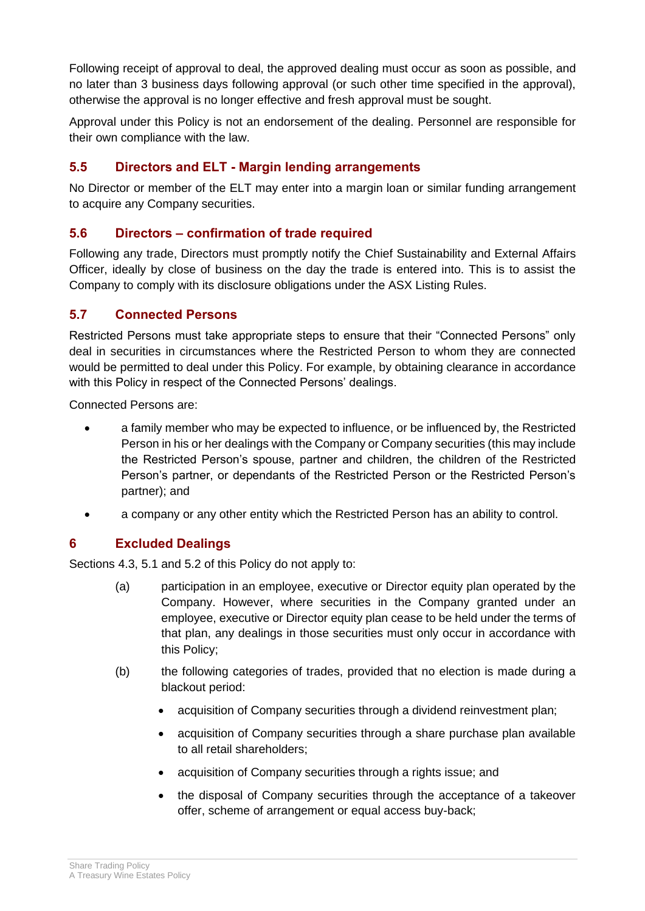Following receipt of approval to deal, the approved dealing must occur as soon as possible, and no later than 3 business days following approval (or such other time specified in the approval), otherwise the approval is no longer effective and fresh approval must be sought.

Approval under this Policy is not an endorsement of the dealing. Personnel are responsible for their own compliance with the law.

# **5.5 Directors and ELT - Margin lending arrangements**

No Director or member of the ELT may enter into a margin loan or similar funding arrangement to acquire any Company securities.

# **5.6 Directors – confirmation of trade required**

Following any trade, Directors must promptly notify the Chief Sustainability and External Affairs Officer, ideally by close of business on the day the trade is entered into. This is to assist the Company to comply with its disclosure obligations under the ASX Listing Rules.

#### **5.7 Connected Persons**

Restricted Persons must take appropriate steps to ensure that their "Connected Persons" only deal in securities in circumstances where the Restricted Person to whom they are connected would be permitted to deal under this Policy. For example, by obtaining clearance in accordance with this Policy in respect of the Connected Persons' dealings.

Connected Persons are:

- a family member who may be expected to influence, or be influenced by, the Restricted Person in his or her dealings with the Company or Company securities (this may include the Restricted Person's spouse, partner and children, the children of the Restricted Person's partner, or dependants of the Restricted Person or the Restricted Person's partner); and
- a company or any other entity which the Restricted Person has an ability to control.

# **6 Excluded Dealings**

Sections [4.3,](#page-3-2) [5.1](#page-3-1) and [5.2](#page-4-2) of this Policy do not apply to:

- (a) participation in an employee, executive or Director equity plan operated by the Company. However, where securities in the Company granted under an employee, executive or Director equity plan cease to be held under the terms of that plan, any dealings in those securities must only occur in accordance with this Policy;
- (b) the following categories of trades, provided that no election is made during a blackout period:
	- acquisition of Company securities through a dividend reinvestment plan;
	- acquisition of Company securities through a share purchase plan available to all retail shareholders;
	- acquisition of Company securities through a rights issue; and
	- the disposal of Company securities through the acceptance of a takeover offer, scheme of arrangement or equal access buy-back;